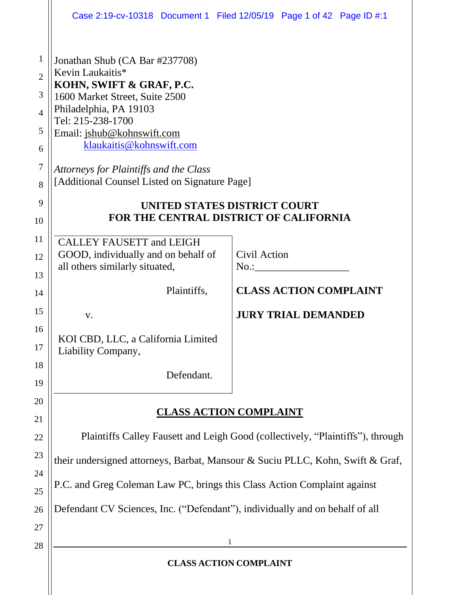|                                                                                             |                                                                                                                                                                                                                                                                                                                      | Case 2:19-cv-10318 Document 1 Filed 12/05/19 Page 1 of 42 Page ID #:1        |  |
|---------------------------------------------------------------------------------------------|----------------------------------------------------------------------------------------------------------------------------------------------------------------------------------------------------------------------------------------------------------------------------------------------------------------------|------------------------------------------------------------------------------|--|
| $\mathbf{1}$<br>$\overline{2}$<br>3<br>$\overline{4}$<br>5<br>6<br>$\overline{7}$<br>8<br>9 | Jonathan Shub (CA Bar #237708)<br>Kevin Laukaitis*<br>KOHN, SWIFT & GRAF, P.C.<br>1600 Market Street, Suite 2500<br>Philadelphia, PA 19103<br>Tel: 215-238-1700<br>Email: jshub@kohnswift.com<br>klaukaitis@kohnswift.com<br>Attorneys for Plaintiffs and the Class<br>[Additional Counsel Listed on Signature Page] | UNITED STATES DISTRICT COURT<br>FOR THE CENTRAL DISTRICT OF CALIFORNIA       |  |
| 10                                                                                          |                                                                                                                                                                                                                                                                                                                      |                                                                              |  |
| 11<br>12<br>13                                                                              | <b>CALLEY FAUSETT and LEIGH</b><br>GOOD, individually and on behalf of<br>all others similarly situated,                                                                                                                                                                                                             | Civil Action<br>No.:                                                         |  |
| 14                                                                                          | Plaintiffs,                                                                                                                                                                                                                                                                                                          | <b>CLASS ACTION COMPLAINT</b>                                                |  |
| 15                                                                                          | V.                                                                                                                                                                                                                                                                                                                   | <b>JURY TRIAL DEMANDED</b>                                                   |  |
| 16<br>17                                                                                    | KOI CBD, LLC, a California Limited<br>Liability Company,                                                                                                                                                                                                                                                             |                                                                              |  |
| 18<br>19                                                                                    | Defendant.                                                                                                                                                                                                                                                                                                           |                                                                              |  |
| 20<br>21                                                                                    | <b>CLASS ACTION COMPLAINT</b>                                                                                                                                                                                                                                                                                        |                                                                              |  |
| 22                                                                                          | Plaintiffs Calley Fausett and Leigh Good (collectively, "Plaintiffs"), through                                                                                                                                                                                                                                       |                                                                              |  |
| 23                                                                                          | their undersigned attorneys, Barbat, Mansour & Suciu PLLC, Kohn, Swift & Graf,                                                                                                                                                                                                                                       |                                                                              |  |
| 24<br>25                                                                                    | P.C. and Greg Coleman Law PC, brings this Class Action Complaint against                                                                                                                                                                                                                                             |                                                                              |  |
| 26                                                                                          |                                                                                                                                                                                                                                                                                                                      | Defendant CV Sciences, Inc. ("Defendant"), individually and on behalf of all |  |
| 27                                                                                          |                                                                                                                                                                                                                                                                                                                      |                                                                              |  |
| 28                                                                                          |                                                                                                                                                                                                                                                                                                                      | 1                                                                            |  |
|                                                                                             | <b>CLASS ACTION COMPLAINT</b>                                                                                                                                                                                                                                                                                        |                                                                              |  |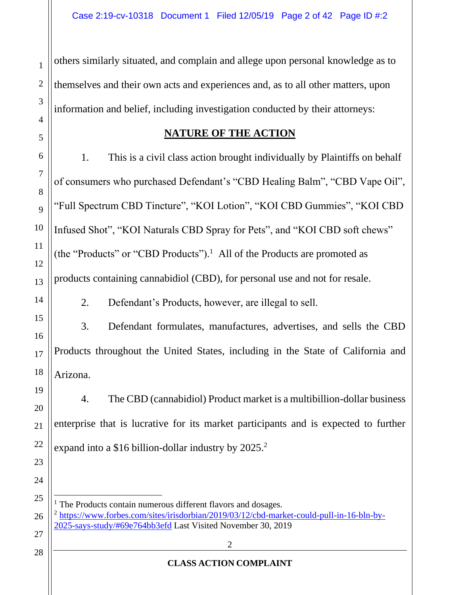others similarly situated, and complain and allege upon personal knowledge as to themselves and their own acts and experiences and, as to all other matters, upon information and belief, including investigation conducted by their attorneys:

#### **NATURE OF THE ACTION**

1. This is a civil class action brought individually by Plaintiffs on behalf of consumers who purchased Defendant's "CBD Healing Balm", "CBD Vape Oil", "Full Spectrum CBD Tincture", "KOI Lotion", "KOI CBD Gummies", "KOI CBD Infused Shot", "KOI Naturals CBD Spray for Pets", and "KOI CBD soft chews" (the "Products" or "CBD Products").<sup>1</sup> All of the Products are promoted as products containing cannabidiol (CBD), for personal use and not for resale.

2. Defendant's Products, however, are illegal to sell.

3. Defendant formulates, manufactures, advertises, and sells the CBD Products throughout the United States, including in the State of California and Arizona.

4. The CBD (cannabidiol) Product market is a multibillion-dollar business enterprise that is lucrative for its market participants and is expected to further expand into a \$16 billion-dollar industry by  $2025.<sup>2</sup>$ 

 $<sup>1</sup>$  The Products contain numerous different flavors and dosages.</sup> <sup>2</sup> https://www.forbes.com/sites/irisdorbian/2019/03/12/cbd-market-could-pull-in-16-bln-by-2025-says-study/#69e764bb3efd Last Visited November 30, 2019

1

2

3

4

5

6

7

8

9

10

11

12

13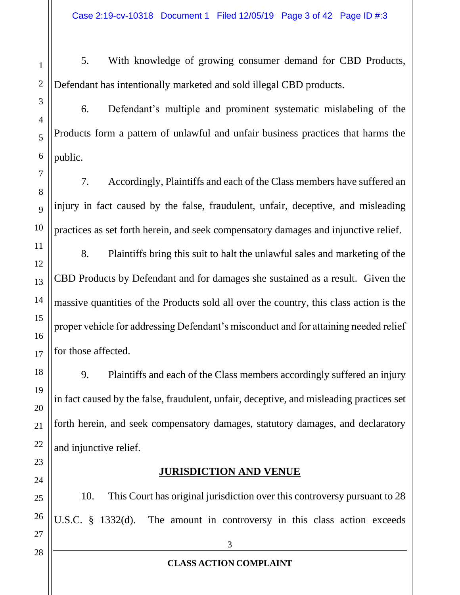5. With knowledge of growing consumer demand for CBD Products, Defendant has intentionally marketed and sold illegal CBD products.

6. Defendant's multiple and prominent systematic mislabeling of the Products form a pattern of unlawful and unfair business practices that harms the public.

7. Accordingly, Plaintiffs and each of the Class members have suffered an injury in fact caused by the false, fraudulent, unfair, deceptive, and misleading practices as set forth herein, and seek compensatory damages and injunctive relief.

8. Plaintiffs bring this suit to halt the unlawful sales and marketing of the CBD Products by Defendant and for damages she sustained as a result. Given the massive quantities of the Products sold all over the country, this class action is the proper vehicle for addressing Defendant's misconduct and for attaining needed relief for those affected.

9. Plaintiffs and each of the Class members accordingly suffered an injury in fact caused by the false, fraudulent, unfair, deceptive, and misleading practices set forth herein, and seek compensatory damages, statutory damages, and declaratory and injunctive relief.

# **JURISDICTION AND VENUE**

10. This Court has original jurisdiction over this controversy pursuant to 28 U.S.C. § 1332(d). The amount in controversy in this class action exceeds

1

2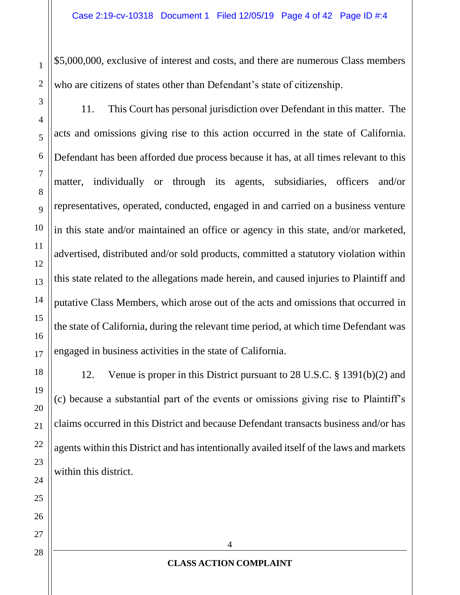\$5,000,000, exclusive of interest and costs, and there are numerous Class members who are citizens of states other than Defendant's state of citizenship.

11. This Court has personal jurisdiction over Defendant in this matter. The acts and omissions giving rise to this action occurred in the state of California. Defendant has been afforded due process because it has, at all times relevant to this matter, individually or through its agents, subsidiaries, officers and/or representatives, operated, conducted, engaged in and carried on a business venture in this state and/or maintained an office or agency in this state, and/or marketed, advertised, distributed and/or sold products, committed a statutory violation within this state related to the allegations made herein, and caused injuries to Plaintiff and putative Class Members, which arose out of the acts and omissions that occurred in the state of California, during the relevant time period, at which time Defendant was engaged in business activities in the state of California.

12. Venue is proper in this District pursuant to 28 U.S.C. § 1391(b)(2) and (c) because a substantial part of the events or omissions giving rise to Plaintiff's claims occurred in this District and because Defendant transacts business and/or has agents within this District and has intentionally availed itself of the laws and markets within this district.

1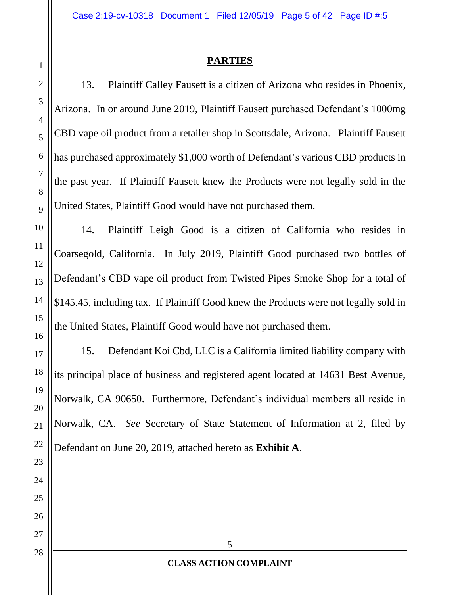#### **PARTIES**

13. Plaintiff Calley Fausett is a citizen of Arizona who resides in Phoenix, Arizona. In or around June 2019, Plaintiff Fausett purchased Defendant's 1000mg CBD vape oil product from a retailer shop in Scottsdale, Arizona. Plaintiff Fausett has purchased approximately \$1,000 worth of Defendant's various CBD products in the past year. If Plaintiff Fausett knew the Products were not legally sold in the United States, Plaintiff Good would have not purchased them.

14. Plaintiff Leigh Good is a citizen of California who resides in Coarsegold, California. In July 2019, Plaintiff Good purchased two bottles of Defendant's CBD vape oil product from Twisted Pipes Smoke Shop for a total of \$145.45, including tax. If Plaintiff Good knew the Products were not legally sold in the United States, Plaintiff Good would have not purchased them.

15. Defendant Koi Cbd, LLC is a California limited liability company with its principal place of business and registered agent located at 14631 Best Avenue, Norwalk, CA 90650. Furthermore, Defendant's individual members all reside in Norwalk, CA. *See* Secretary of State Statement of Information at 2, filed by Defendant on June 20, 2019, attached hereto as **Exhibit A**.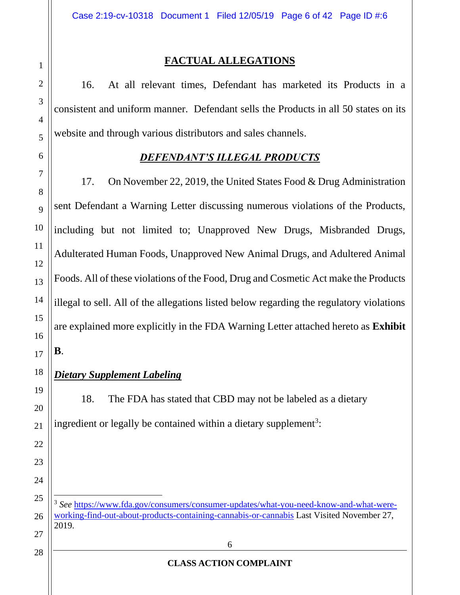16. At all relevant times, Defendant has marketed its Products in a consistent and uniform manner. Defendant sells the Products in all 50 states on its website and through various distributors and sales channels.

# *DEFENDANT'S ILLEGAL PRODUCTS*

17. On November 22, 2019, the United States Food & Drug Administration sent Defendant a Warning Letter discussing numerous violations of the Products, including but not limited to; Unapproved New Drugs, Misbranded Drugs, Adulterated Human Foods, Unapproved New Animal Drugs, and Adultered Animal Foods. All of these violations of the Food, Drug and Cosmetic Act make the Products illegal to sell. All of the allegations listed below regarding the regulatory violations are explained more explicitly in the FDA Warning Letter attached hereto as **Exhibit B**.

# *Dietary Supplement Labeling*

18. The FDA has stated that CBD may not be labeled as a dietary ingredient or legally be contained within a dietary supplement<sup>3</sup>:

<sup>3</sup> See https://www.fda.gov/consumers/consumer-updates/what-you-need-know-and-what-wereworking-find-out-about-products-containing-cannabis-or-cannabis Last Visited November 27, 2019.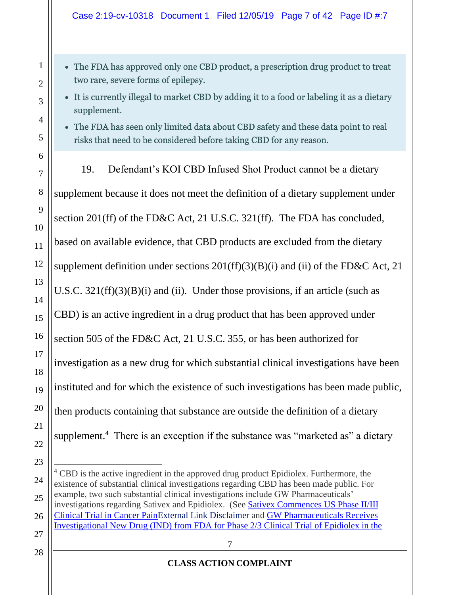#### Case 2:19-cv-10318 Document 1 Filed 12/05/19 Page 7 of 42 Page ID #:7

- The FDA has approved only one CBD product, a prescription drug product to treat two rare, severe forms of epilepsy.
- It is currently illegal to market CBD by adding it to a food or labeling it as a dietary supplement.
- The FDA has seen only limited data about CBD safety and these data point to real risks that need to be considered before taking CBD for any reason.
- 19. Defendant's KOI CBD Infused Shot Product cannot be a dietary supplement because it does not meet the definition of a dietary supplement under section 201(ff) of the FD&C Act, 21 U.S.C. 321(ff). The FDA has concluded, based on available evidence, that CBD products are excluded from the dietary supplement definition under sections  $201(ff)(3)(B)(i)$  and (ii) of the FD&C Act, 21 U.S.C.  $321(ff)(3)(B)(i)$  and (ii). Under those provisions, if an article (such as CBD) is an active ingredient in a drug product that has been approved under section 505 of the FD&C Act, 21 U.S.C. 355, or has been authorized for investigation as a new drug for which substantial clinical investigations have been instituted and for which the existence of such investigations has been made public, then products containing that substance are outside the definition of a dietary supplement.<sup>4</sup> There is an exception if the substance was "marketed as" a dietary

#### **CLASS ACTION COMPLAINT**

<sup>&</sup>lt;sup>4</sup> CBD is the active ingredient in the approved drug product Epidiolex. Furthermore, the existence of substantial clinical investigations regarding CBD has been made public. For example, two such substantial clinical investigations include GW Pharmaceuticals' investigations regarding Sativex and Epidiolex. (See Sativex Commences US Phase II/III Clinical Trial in Cancer PainExternal Link Disclaimer and GW Pharmaceuticals Receives Investigational New Drug (IND) from FDA for Phase 2/3 Clinical Trial of Epidiolex in the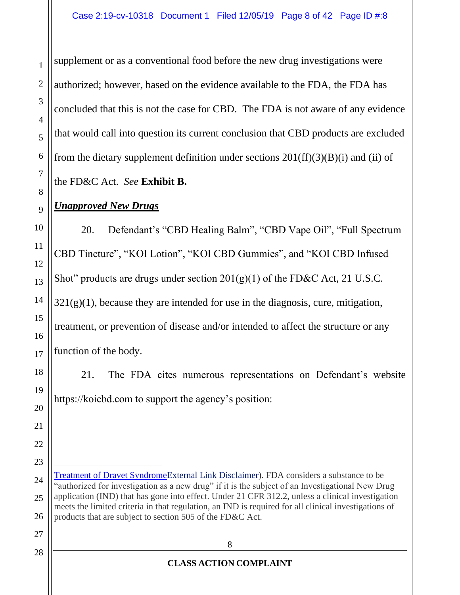supplement or as a conventional food before the new drug investigations were authorized; however, based on the evidence available to the FDA, the FDA has concluded that this is not the case for CBD. The FDA is not aware of any evidence that would call into question its current conclusion that CBD products are excluded from the dietary supplement definition under sections  $201(ff)(3)(B)(i)$  and (ii) of the FD&C Act. *See* **Exhibit B.**

# *Unapproved New Drugs*

20. Defendant's "CBD Healing Balm", "CBD Vape Oil", "Full Spectrum CBD Tincture", "KOI Lotion", "KOI CBD Gummies", and "KOI CBD Infused Shot" products are drugs under section  $201(g)(1)$  of the FD&C Act, 21 U.S.C.  $321(g)(1)$ , because they are intended for use in the diagnosis, cure, mitigation, treatment, or prevention of disease and/or intended to affect the structure or any function of the body.

21. The FDA cites numerous representations on Defendant's website https://koicbd.com to support the agency's position:

Treatment of Dravet SyndromeExternal Link Disclaimer). FDA considers a substance to be "authorized for investigation as a new drug" if it is the subject of an Investigational New Drug application (IND) that has gone into effect. Under 21 CFR 312.2, unless a clinical investigation meets the limited criteria in that regulation, an IND is required for all clinical investigations of products that are subject to section 505 of the FD&C Act.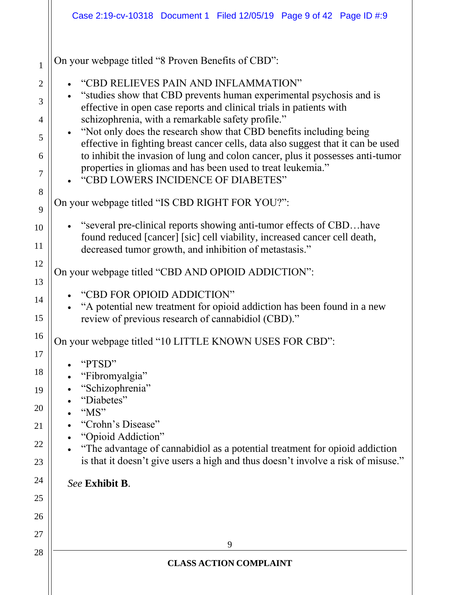|                                | Case 2:19-cv-10318 Document 1 Filed 12/05/19 Page 9 of 42 Page ID #:9                                                                                                                                                                                                                                                                                       |
|--------------------------------|-------------------------------------------------------------------------------------------------------------------------------------------------------------------------------------------------------------------------------------------------------------------------------------------------------------------------------------------------------------|
| $\mathbf{1}$<br>$\overline{2}$ | On your webpage titled "8 Proven Benefits of CBD":<br>"CBD RELIEVES PAIN AND INFLAMMATION"                                                                                                                                                                                                                                                                  |
| 3<br>4<br>5                    | "studies show that CBD prevents human experimental psychosis and is<br>effective in open case reports and clinical trials in patients with<br>schizophrenia, with a remarkable safety profile."<br>• "Not only does the research show that CBD benefits including being<br>effective in fighting breast cancer cells, data also suggest that it can be used |
| 6<br>7<br>8                    | to inhibit the invasion of lung and colon cancer, plus it possesses anti-tumor<br>properties in gliomas and has been used to treat leukemia."<br>"CBD LOWERS INCIDENCE OF DIABETES"<br>On your webpage titled "IS CBD RIGHT FOR YOU?":                                                                                                                      |
| 9<br>10<br>11                  | "several pre-clinical reports showing anti-tumor effects of CBDhave<br>found reduced [cancer] [sic] cell viability, increased cancer cell death,<br>decreased tumor growth, and inhibition of metastasis."                                                                                                                                                  |
| 12<br>13                       | On your webpage titled "CBD AND OPIOID ADDICTION":                                                                                                                                                                                                                                                                                                          |
| 14<br>15                       | "CBD FOR OPIOID ADDICTION"<br>"A potential new treatment for opioid addiction has been found in a new<br>review of previous research of cannabidiol (CBD)."                                                                                                                                                                                                 |
| 16<br>17                       | On your webpage titled "10 LITTLE KNOWN USES FOR CBD":                                                                                                                                                                                                                                                                                                      |
| 18<br>19<br>20                 | "PTSD"<br>"Fibromyalgia"<br>"Schizophrenia"<br>"Diabetes"<br>"MS"                                                                                                                                                                                                                                                                                           |
| 21<br>22<br>23                 | "Crohn's Disease"<br>"Opioid Addiction"<br>"The advantage of cannabidiol as a potential treatment for opioid addiction<br>is that it doesn't give users a high and thus doesn't involve a risk of misuse."                                                                                                                                                  |
| 24<br>25<br>26                 | See Exhibit B.                                                                                                                                                                                                                                                                                                                                              |
| 27<br>28                       | 9                                                                                                                                                                                                                                                                                                                                                           |
|                                | <b>CLASS ACTION COMPLAINT</b>                                                                                                                                                                                                                                                                                                                               |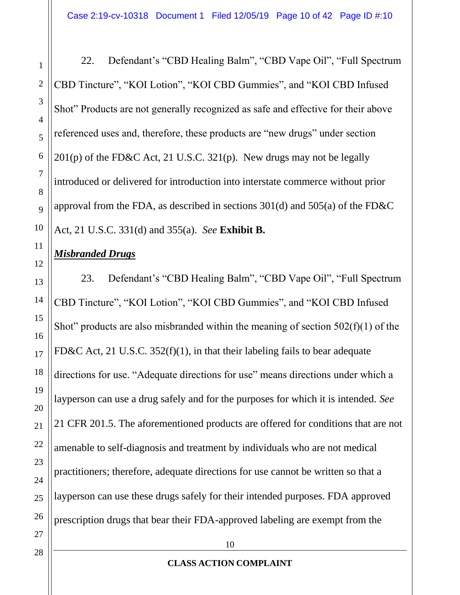22. Defendant's "CBD Healing Balm", "CBD Vape Oil", "Full Spectrum CBD Tincture", "KOI Lotion", "KOI CBD Gummies", and "KOI CBD Infused Shot" Products are not generally recognized as safe and effective for their above referenced uses and, therefore, these products are "new drugs" under section  $201(p)$  of the FD&C Act, 21 U.S.C. 321(p). New drugs may not be legally introduced or delivered for introduction into interstate commerce without prior approval from the FDA, as described in sections 301(d) and 505(a) of the FD&C Act, 21 U.S.C. 331(d) and 355(a). *See* **Exhibit B.**

# *Misbranded Drugs*

23. Defendant's "CBD Healing Balm", "CBD Vape Oil", "Full Spectrum CBD Tincture", "KOI Lotion", "KOI CBD Gummies", and "KOI CBD Infused Shot" products are also misbranded within the meaning of section  $502(f)(1)$  of the FD&C Act, 21 U.S.C. 352(f)(1), in that their labeling fails to bear adequate directions for use. "Adequate directions for use" means directions under which a layperson can use a drug safely and for the purposes for which it is intended. *See* 21 CFR 201.5. The aforementioned products are offered for conditions that are not amenable to self-diagnosis and treatment by individuals who are not medical practitioners; therefore, adequate directions for use cannot be written so that a layperson can use these drugs safely for their intended purposes. FDA approved prescription drugs that bear their FDA-approved labeling are exempt from the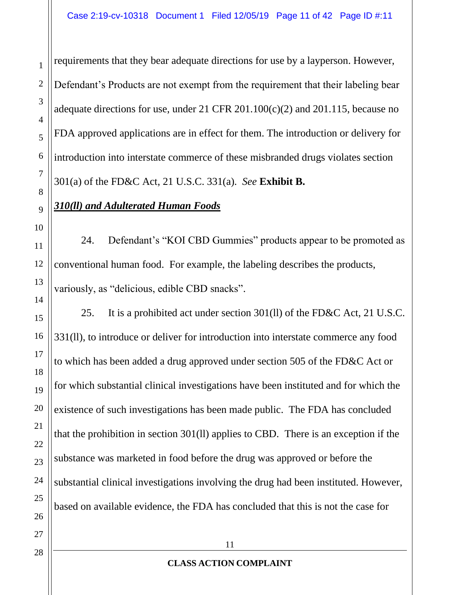requirements that they bear adequate directions for use by a layperson. However, Defendant's Products are not exempt from the requirement that their labeling bear adequate directions for use, under 21 CFR 201.100(c)(2) and 201.115, because no FDA approved applications are in effect for them. The introduction or delivery for introduction into interstate commerce of these misbranded drugs violates section 301(a) of the FD&C Act, 21 U.S.C. 331(a). *See* **Exhibit B.**

# *310(ll) and Adulterated Human Foods*

24. Defendant's "KOI CBD Gummies" products appear to be promoted as conventional human food. For example, the labeling describes the products, variously, as "delicious, edible CBD snacks".

25. It is a prohibited act under section 301(ll) of the FD&C Act, 21 U.S.C. 331(ll), to introduce or deliver for introduction into interstate commerce any food to which has been added a drug approved under section 505 of the FD&C Act or for which substantial clinical investigations have been instituted and for which the existence of such investigations has been made public. The FDA has concluded that the prohibition in section 301(ll) applies to CBD. There is an exception if the substance was marketed in food before the drug was approved or before the substantial clinical investigations involving the drug had been instituted. However, based on available evidence, the FDA has concluded that this is not the case for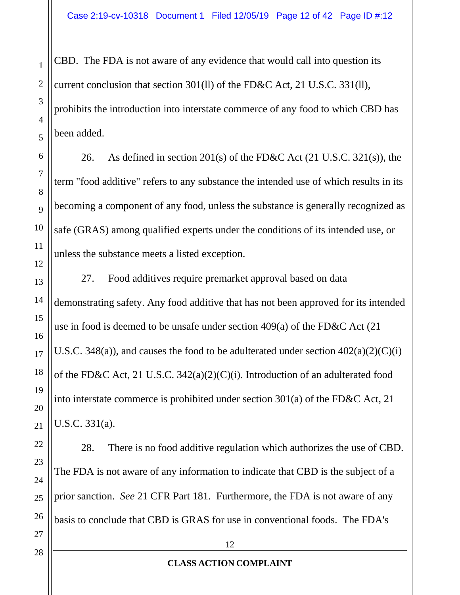CBD. The FDA is not aware of any evidence that would call into question its current conclusion that section 301(ll) of the FD&C Act, 21 U.S.C. 331(ll), prohibits the introduction into interstate commerce of any food to which CBD has been added.

26. As defined in section 201(s) of the FD&C Act (21 U.S.C. 321(s)), the term "food additive" refers to any substance the intended use of which results in its becoming a component of any food, unless the substance is generally recognized as safe (GRAS) among qualified experts under the conditions of its intended use, or unless the substance meets a listed exception.

27. Food additives require premarket approval based on data demonstrating safety. Any food additive that has not been approved for its intended use in food is deemed to be unsafe under section 409(a) of the FD&C Act (21 U.S.C. 348(a)), and causes the food to be adulterated under section  $402(a)(2)(C)(i)$ of the FD&C Act, 21 U.S.C. 342(a)(2)(C)(i). Introduction of an adulterated food into interstate commerce is prohibited under section 301(a) of the FD&C Act, 21 U.S.C. 331(a).

28. There is no food additive regulation which authorizes the use of CBD. The FDA is not aware of any information to indicate that CBD is the subject of a prior sanction. *See* 21 CFR Part 181. Furthermore, the FDA is not aware of any basis to conclude that CBD is GRAS for use in conventional foods. The FDA's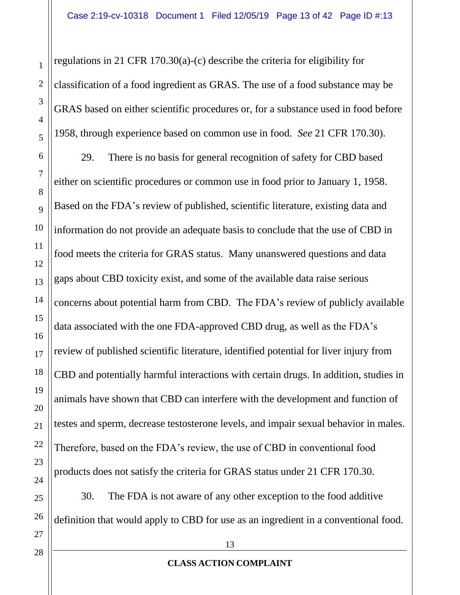regulations in 21 CFR 170.30(a)-(c) describe the criteria for eligibility for classification of a food ingredient as GRAS. The use of a food substance may be GRAS based on either scientific procedures or, for a substance used in food before 1958, through experience based on common use in food. *See* 21 CFR 170.30). 29. There is no basis for general recognition of safety for CBD based either on scientific procedures or common use in food prior to January 1, 1958. Based on the FDA's review of published, scientific literature, existing data and information do not provide an adequate basis to conclude that the use of CBD in food meets the criteria for GRAS status. Many unanswered questions and data gaps about CBD toxicity exist, and some of the available data raise serious concerns about potential harm from CBD. The FDA's review of publicly available data associated with the one FDA-approved CBD drug, as well as the FDA's review of published scientific literature, identified potential for liver injury from CBD and potentially harmful interactions with certain drugs. In addition, studies in animals have shown that CBD can interfere with the development and function of testes and sperm, decrease testosterone levels, and impair sexual behavior in males. Therefore, based on the FDA's review, the use of CBD in conventional food products does not satisfy the criteria for GRAS status under 21 CFR 170.30. 30. The FDA is not aware of any other exception to the food additive

definition that would apply to CBD for use as an ingredient in a conventional food.

28

1

2

3

4

5

6

7

8

9

10

11

12

13

14

15

16

17

18

19

20

#### **CLASS ACTION COMPLAINT**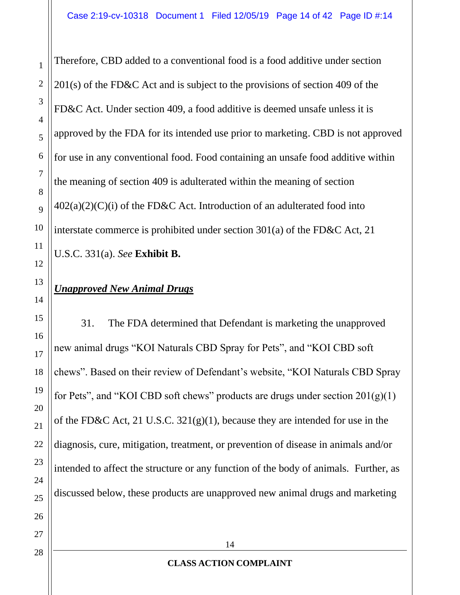Therefore, CBD added to a conventional food is a food additive under section 201(s) of the FD&C Act and is subject to the provisions of section 409 of the FD&C Act. Under section 409, a food additive is deemed unsafe unless it is approved by the FDA for its intended use prior to marketing. CBD is not approved for use in any conventional food. Food containing an unsafe food additive within the meaning of section 409 is adulterated within the meaning of section  $402(a)(2)(C)(i)$  of the FD&C Act. Introduction of an adulterated food into interstate commerce is prohibited under section 301(a) of the FD&C Act, 21 U.S.C. 331(a). *See* **Exhibit B.**

# *Unapproved New Animal Drugs*

31. The FDA determined that Defendant is marketing the unapproved new animal drugs "KOI Naturals CBD Spray for Pets", and "KOI CBD soft chews". Based on their review of Defendant's website, "KOI Naturals CBD Spray for Pets", and "KOI CBD soft chews" products are drugs under section  $201(g)(1)$ of the FD&C Act, 21 U.S.C. 321(g)(1), because they are intended for use in the diagnosis, cure, mitigation, treatment, or prevention of disease in animals and/or intended to affect the structure or any function of the body of animals. Further, as discussed below, these products are unapproved new animal drugs and marketing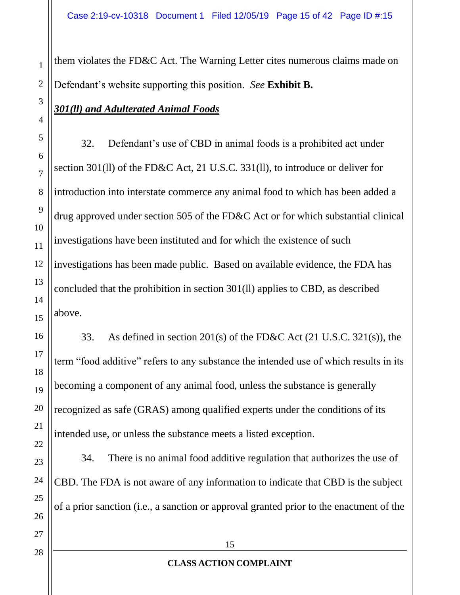them violates the FD&C Act. The Warning Letter cites numerous claims made on Defendant's website supporting this position. *See* **Exhibit B.**

# *301(ll) and Adulterated Animal Foods*

32. Defendant's use of CBD in animal foods is a prohibited act under section 301(ll) of the FD&C Act, 21 U.S.C. 331(ll), to introduce or deliver for introduction into interstate commerce any animal food to which has been added a drug approved under section 505 of the FD&C Act or for which substantial clinical investigations have been instituted and for which the existence of such investigations has been made public. Based on available evidence, the FDA has concluded that the prohibition in section 301(ll) applies to CBD, as described above.

33. As defined in section 201(s) of the FD&C Act (21 U.S.C. 321(s)), the term "food additive" refers to any substance the intended use of which results in its becoming a component of any animal food, unless the substance is generally recognized as safe (GRAS) among qualified experts under the conditions of its intended use, or unless the substance meets a listed exception.

34. There is no animal food additive regulation that authorizes the use of CBD. The FDA is not aware of any information to indicate that CBD is the subject of a prior sanction (i.e., a sanction or approval granted prior to the enactment of the

1

2

3

4

5

6

7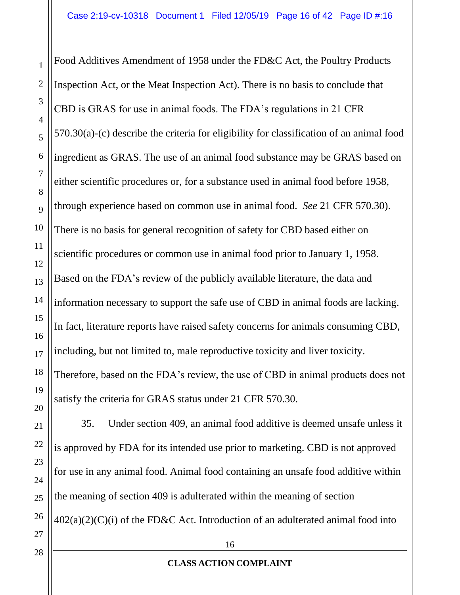Food Additives Amendment of 1958 under the FD&C Act, the Poultry Products Inspection Act, or the Meat Inspection Act). There is no basis to conclude that CBD is GRAS for use in animal foods. The FDA's regulations in 21 CFR 570.30(a)-(c) describe the criteria for eligibility for classification of an animal food ingredient as GRAS. The use of an animal food substance may be GRAS based on either scientific procedures or, for a substance used in animal food before 1958, through experience based on common use in animal food. *See* 21 CFR 570.30). There is no basis for general recognition of safety for CBD based either on scientific procedures or common use in animal food prior to January 1, 1958. Based on the FDA's review of the publicly available literature, the data and information necessary to support the safe use of CBD in animal foods are lacking. In fact, literature reports have raised safety concerns for animals consuming CBD, including, but not limited to, male reproductive toxicity and liver toxicity. Therefore, based on the FDA's review, the use of CBD in animal products does not satisfy the criteria for GRAS status under 21 CFR 570.30.

35. Under section 409, an animal food additive is deemed unsafe unless it is approved by FDA for its intended use prior to marketing. CBD is not approved for use in any animal food. Animal food containing an unsafe food additive within the meaning of section 409 is adulterated within the meaning of section  $402(a)(2)(C)(i)$  of the FD&C Act. Introduction of an adulterated animal food into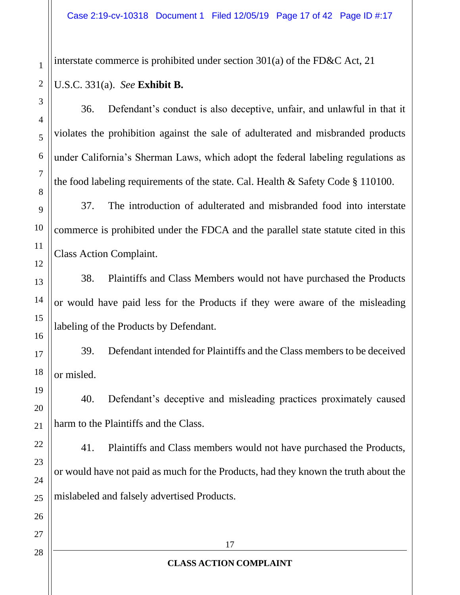interstate commerce is prohibited under section 301(a) of the FD&C Act, 21

# U.S.C. 331(a). *See* **Exhibit B.**

36. Defendant's conduct is also deceptive, unfair, and unlawful in that it violates the prohibition against the sale of adulterated and misbranded products under California's Sherman Laws, which adopt the federal labeling regulations as the food labeling requirements of the state. Cal. Health & Safety Code § 110100.

37. The introduction of adulterated and misbranded food into interstate commerce is prohibited under the FDCA and the parallel state statute cited in this Class Action Complaint.

38. Plaintiffs and Class Members would not have purchased the Products or would have paid less for the Products if they were aware of the misleading labeling of the Products by Defendant.

39. Defendant intended for Plaintiffs and the Class members to be deceived or misled.

40. Defendant's deceptive and misleading practices proximately caused harm to the Plaintiffs and the Class.

41. Plaintiffs and Class members would not have purchased the Products, or would have not paid as much for the Products, had they known the truth about the mislabeled and falsely advertised Products.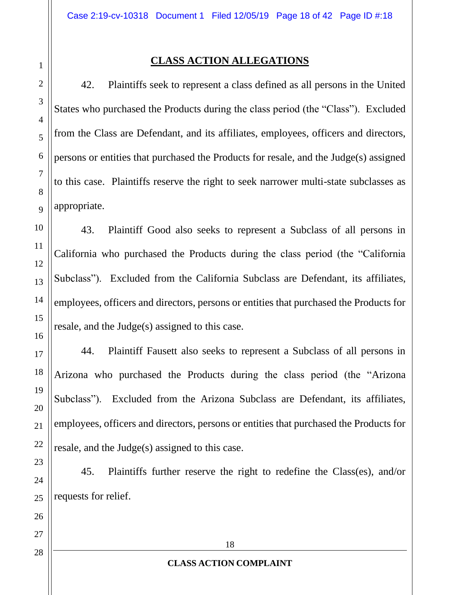#### **CLASS ACTION ALLEGATIONS**

42. Plaintiffs seek to represent a class defined as all persons in the United States who purchased the Products during the class period (the "Class"). Excluded from the Class are Defendant, and its affiliates, employees, officers and directors, persons or entities that purchased the Products for resale, and the Judge(s) assigned to this case. Plaintiffs reserve the right to seek narrower multi-state subclasses as appropriate.

43. Plaintiff Good also seeks to represent a Subclass of all persons in California who purchased the Products during the class period (the "California Subclass"). Excluded from the California Subclass are Defendant, its affiliates, employees, officers and directors, persons or entities that purchased the Products for resale, and the Judge(s) assigned to this case.

44. Plaintiff Fausett also seeks to represent a Subclass of all persons in Arizona who purchased the Products during the class period (the "Arizona Subclass"). Excluded from the Arizona Subclass are Defendant, its affiliates, employees, officers and directors, persons or entities that purchased the Products for resale, and the Judge(s) assigned to this case.

45. Plaintiffs further reserve the right to redefine the Class(es), and/or requests for relief.

1

2

3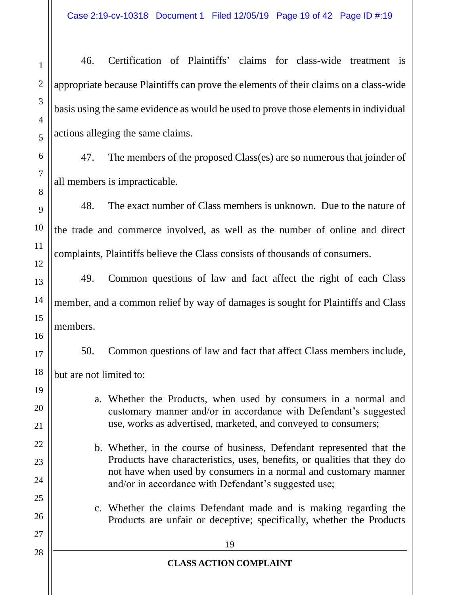46. Certification of Plaintiffs' claims for class-wide treatment is appropriate because Plaintiffs can prove the elements of their claims on a class-wide basis using the same evidence as would be used to prove those elements in individual actions alleging the same claims.

47. The members of the proposed Class(es) are so numerous that joinder of all members is impracticable.

48. The exact number of Class members is unknown. Due to the nature of the trade and commerce involved, as well as the number of online and direct complaints, Plaintiffs believe the Class consists of thousands of consumers.

49. Common questions of law and fact affect the right of each Class member, and a common relief by way of damages is sought for Plaintiffs and Class members.

50. Common questions of law and fact that affect Class members include,

but are not limited to:

- a. Whether the Products, when used by consumers in a normal and customary manner and/or in accordance with Defendant's suggested use, works as advertised, marketed, and conveyed to consumers;
- b. Whether, in the course of business, Defendant represented that the Products have characteristics, uses, benefits, or qualities that they do not have when used by consumers in a normal and customary manner and/or in accordance with Defendant's suggested use;
	- c. Whether the claims Defendant made and is making regarding the Products are unfair or deceptive; specifically, whether the Products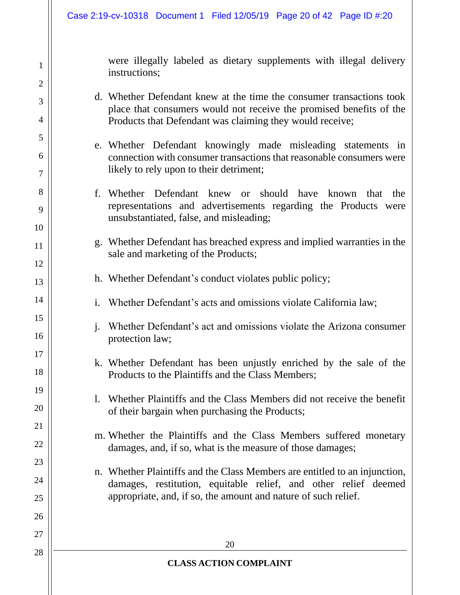were illegally labeled as dietary supplements with illegal delivery instructions;

- d. Whether Defendant knew at the time the consumer transactions took place that consumers would not receive the promised benefits of the Products that Defendant was claiming they would receive;
- e. Whether Defendant knowingly made misleading statements in connection with consumer transactions that reasonable consumers were likely to rely upon to their detriment;
- f. Whether Defendant knew or should have known that the representations and advertisements regarding the Products were unsubstantiated, false, and misleading;
- g. Whether Defendant has breached express and implied warranties in the sale and marketing of the Products;
- h. Whether Defendant's conduct violates public policy;
- i. Whether Defendant's acts and omissions violate California law;
- j. Whether Defendant's act and omissions violate the Arizona consumer protection law;
- k. Whether Defendant has been unjustly enriched by the sale of the Products to the Plaintiffs and the Class Members;
- l. Whether Plaintiffs and the Class Members did not receive the benefit of their bargain when purchasing the Products;
- m. Whether the Plaintiffs and the Class Members suffered monetary damages, and, if so, what is the measure of those damages;
- n. Whether Plaintiffs and the Class Members are entitled to an injunction, damages, restitution, equitable relief, and other relief deemed appropriate, and, if so, the amount and nature of such relief.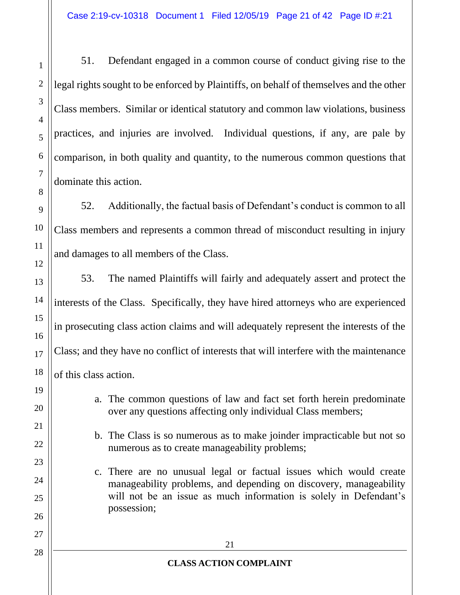51. Defendant engaged in a common course of conduct giving rise to the legal rights sought to be enforced by Plaintiffs, on behalf of themselves and the other Class members. Similar or identical statutory and common law violations, business practices, and injuries are involved. Individual questions, if any, are pale by comparison, in both quality and quantity, to the numerous common questions that dominate this action.

52. Additionally, the factual basis of Defendant's conduct is common to all Class members and represents a common thread of misconduct resulting in injury and damages to all members of the Class.

53. The named Plaintiffs will fairly and adequately assert and protect the interests of the Class. Specifically, they have hired attorneys who are experienced in prosecuting class action claims and will adequately represent the interests of the Class; and they have no conflict of interests that will interfere with the maintenance of this class action.

- a. The common questions of law and fact set forth herein predominate over any questions affecting only individual Class members;
- b. The Class is so numerous as to make joinder impracticable but not so numerous as to create manageability problems;
- c. There are no unusual legal or factual issues which would create manageability problems, and depending on discovery, manageability will not be an issue as much information is solely in Defendant's possession;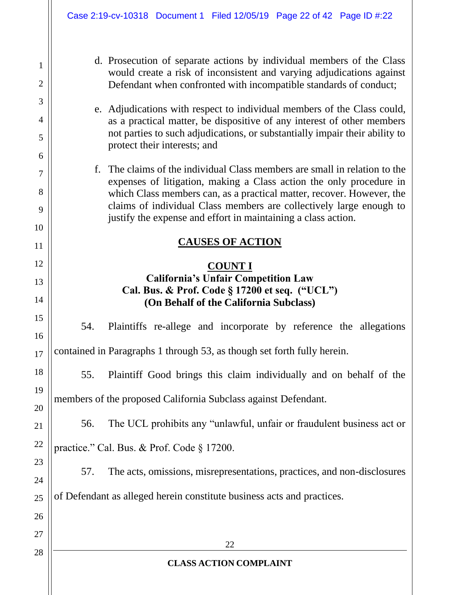1

2

3

4

5

6

7

8

9

10

11

12

13

14

15

16

17

18

19

20

21

22

23

24

25

26

27

28

- d. Prosecution of separate actions by individual members of the Class would create a risk of inconsistent and varying adjudications against Defendant when confronted with incompatible standards of conduct;
- e. Adjudications with respect to individual members of the Class could, as a practical matter, be dispositive of any interest of other members not parties to such adjudications, or substantially impair their ability to protect their interests; and
- f. The claims of the individual Class members are small in relation to the expenses of litigation, making a Class action the only procedure in which Class members can, as a practical matter, recover. However, the claims of individual Class members are collectively large enough to justify the expense and effort in maintaining a class action.

#### **CAUSES OF ACTION**

#### **COUNT I California's Unfair Competition Law Cal. Bus. & Prof. Code § 17200 et seq. ("UCL") (On Behalf of the California Subclass)**

54. Plaintiffs re-allege and incorporate by reference the allegations contained in Paragraphs 1 through 53, as though set forth fully herein.

55. Plaintiff Good brings this claim individually and on behalf of the members of the proposed California Subclass against Defendant.

56. The UCL prohibits any "unlawful, unfair or fraudulent business act or practice." Cal. Bus. & Prof. Code § 17200.

57. The acts, omissions, misrepresentations, practices, and non-disclosures of Defendant as alleged herein constitute business acts and practices.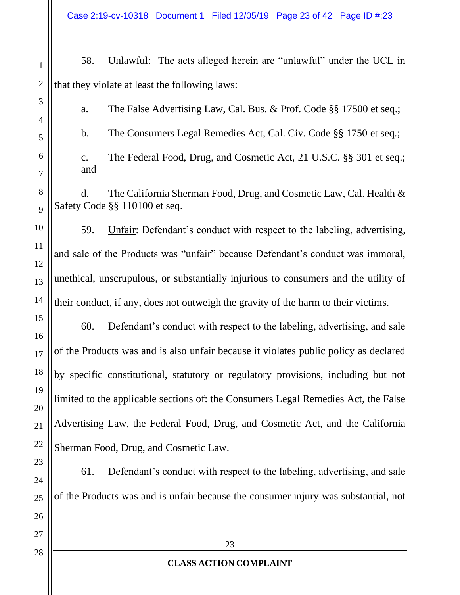Case 2:19-cv-10318 Document 1 Filed 12/05/19 Page 23 of 42 Page ID #:23

58. Unlawful: The acts alleged herein are "unlawful" under the UCL in that they violate at least the following laws:

a. The False Advertising Law, Cal. Bus. & Prof. Code §§ 17500 et seq.; b. The Consumers Legal Remedies Act, Cal. Civ. Code §§ 1750 et seq.;

c. The Federal Food, Drug, and Cosmetic Act, 21 U.S.C. §§ 301 et seq.; and

d. The California Sherman Food, Drug, and Cosmetic Law, Cal. Health & Safety Code §§ 110100 et seq.

59. Unfair: Defendant's conduct with respect to the labeling, advertising, and sale of the Products was "unfair" because Defendant's conduct was immoral, unethical, unscrupulous, or substantially injurious to consumers and the utility of their conduct, if any, does not outweigh the gravity of the harm to their victims.

60. Defendant's conduct with respect to the labeling, advertising, and sale of the Products was and is also unfair because it violates public policy as declared by specific constitutional, statutory or regulatory provisions, including but not limited to the applicable sections of: the Consumers Legal Remedies Act, the False Advertising Law, the Federal Food, Drug, and Cosmetic Act, and the California Sherman Food, Drug, and Cosmetic Law.

61. Defendant's conduct with respect to the labeling, advertising, and sale of the Products was and is unfair because the consumer injury was substantial, not

1

2

3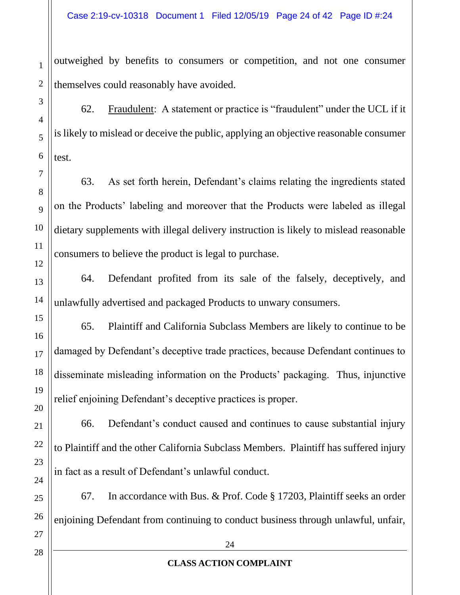outweighed by benefits to consumers or competition, and not one consumer themselves could reasonably have avoided.

62. Fraudulent: A statement or practice is "fraudulent" under the UCL if it is likely to mislead or deceive the public, applying an objective reasonable consumer test.

63. As set forth herein, Defendant's claims relating the ingredients stated on the Products' labeling and moreover that the Products were labeled as illegal dietary supplements with illegal delivery instruction is likely to mislead reasonable consumers to believe the product is legal to purchase.

64. Defendant profited from its sale of the falsely, deceptively, and unlawfully advertised and packaged Products to unwary consumers.

65. Plaintiff and California Subclass Members are likely to continue to be damaged by Defendant's deceptive trade practices, because Defendant continues to disseminate misleading information on the Products' packaging. Thus, injunctive relief enjoining Defendant's deceptive practices is proper.

66. Defendant's conduct caused and continues to cause substantial injury to Plaintiff and the other California Subclass Members. Plaintiff has suffered injury in fact as a result of Defendant's unlawful conduct.

67. In accordance with Bus. & Prof. Code § 17203, Plaintiff seeks an order enjoining Defendant from continuing to conduct business through unlawful, unfair,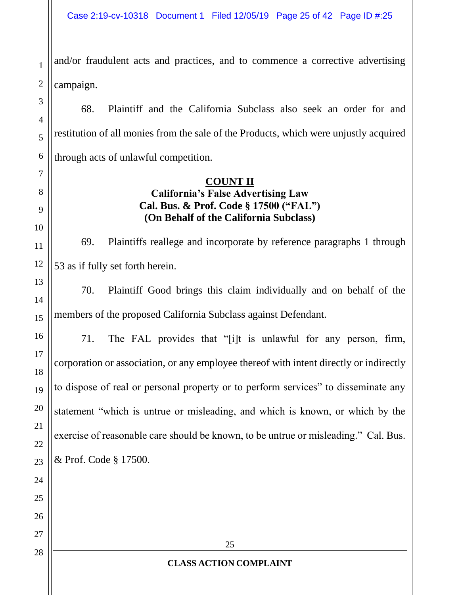and/or fraudulent acts and practices, and to commence a corrective advertising campaign.

1

2

3

4

5

6

7

8

9

10

11

12

13

14

15

16

17

18

19

20

21

22

23

24

25

26

27

28

68. Plaintiff and the California Subclass also seek an order for and restitution of all monies from the sale of the Products, which were unjustly acquired through acts of unlawful competition.

#### **COUNT II California's False Advertising Law Cal. Bus. & Prof. Code § 17500 ("FAL") (On Behalf of the California Subclass)**

69. Plaintiffs reallege and incorporate by reference paragraphs 1 through 53 as if fully set forth herein.

70. Plaintiff Good brings this claim individually and on behalf of the members of the proposed California Subclass against Defendant.

71. The FAL provides that "[i]t is unlawful for any person, firm, corporation or association, or any employee thereof with intent directly or indirectly to dispose of real or personal property or to perform services" to disseminate any statement "which is untrue or misleading, and which is known, or which by the exercise of reasonable care should be known, to be untrue or misleading." Cal. Bus. & Prof. Code § 17500.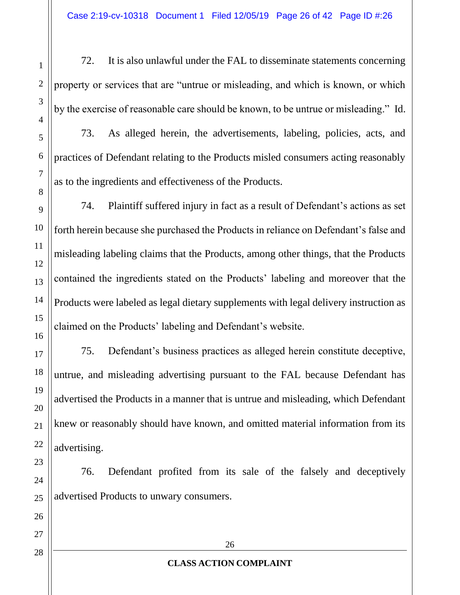72. It is also unlawful under the FAL to disseminate statements concerning property or services that are "untrue or misleading, and which is known, or which by the exercise of reasonable care should be known, to be untrue or misleading." Id. 73. As alleged herein, the advertisements, labeling, policies, acts, and practices of Defendant relating to the Products misled consumers acting reasonably as to the ingredients and effectiveness of the Products.

74. Plaintiff suffered injury in fact as a result of Defendant's actions as set forth herein because she purchased the Products in reliance on Defendant's false and misleading labeling claims that the Products, among other things, that the Products contained the ingredients stated on the Products' labeling and moreover that the Products were labeled as legal dietary supplements with legal delivery instruction as claimed on the Products' labeling and Defendant's website.

75. Defendant's business practices as alleged herein constitute deceptive, untrue, and misleading advertising pursuant to the FAL because Defendant has advertised the Products in a manner that is untrue and misleading, which Defendant knew or reasonably should have known, and omitted material information from its advertising.

76. Defendant profited from its sale of the falsely and deceptively advertised Products to unwary consumers.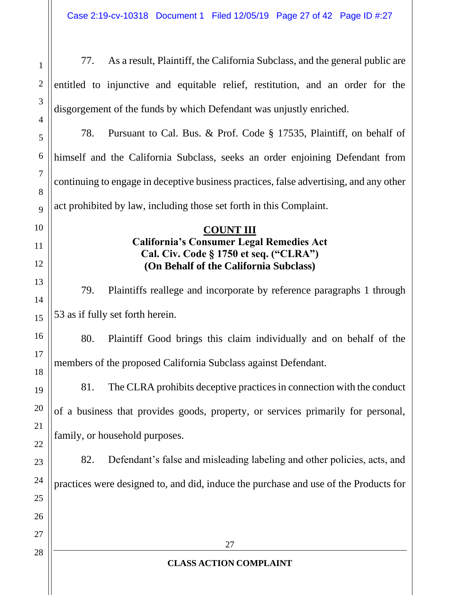| $\mathbf{1}$        | As a result, Plaintiff, the California Subclass, and the general public are<br>77.     |  |  |
|---------------------|----------------------------------------------------------------------------------------|--|--|
| $\overline{2}$      | entitled to injunctive and equitable relief, restitution, and an order for the         |  |  |
| 3                   | disgorgement of the funds by which Defendant was unjustly enriched.                    |  |  |
| $\overline{4}$      | 78.<br>Pursuant to Cal. Bus. & Prof. Code § 17535, Plaintiff, on behalf of             |  |  |
| 5                   |                                                                                        |  |  |
| 6                   | himself and the California Subclass, seeks an order enjoining Defendant from           |  |  |
| $\overline{7}$<br>8 | continuing to engage in deceptive business practices, false advertising, and any other |  |  |
| 9                   | act prohibited by law, including those set forth in this Complaint.                    |  |  |
| 10                  | <b>COUNT III</b>                                                                       |  |  |
| 11                  | <b>California's Consumer Legal Remedies Act</b>                                        |  |  |
| 12                  | Cal. Civ. Code § 1750 et seq. ("CLRA")<br>(On Behalf of the California Subclass)       |  |  |
| 13                  | 79.<br>Plaintiffs reallege and incorporate by reference paragraphs 1 through           |  |  |
| 14                  |                                                                                        |  |  |
| 15                  | 53 as if fully set forth herein.                                                       |  |  |
| 16                  | Plaintiff Good brings this claim individually and on behalf of the<br>80.              |  |  |
| 17<br>18            | members of the proposed California Subclass against Defendant.                         |  |  |
| 19                  | The CLRA prohibits deceptive practices in connection with the conduct<br>81.           |  |  |
| 20                  | of a business that provides goods, property, or services primarily for personal,       |  |  |
| 21                  |                                                                                        |  |  |
| 22                  | family, or household purposes.                                                         |  |  |
| 23                  | Defendant's false and misleading labeling and other policies, acts, and<br>82.         |  |  |
| 24                  | practices were designed to, and did, induce the purchase and use of the Products for   |  |  |
| 25                  |                                                                                        |  |  |
| 26                  |                                                                                        |  |  |
| 27                  |                                                                                        |  |  |
| 28                  | 27                                                                                     |  |  |
|                     | <b>CLASS ACTION COMPLAINT</b>                                                          |  |  |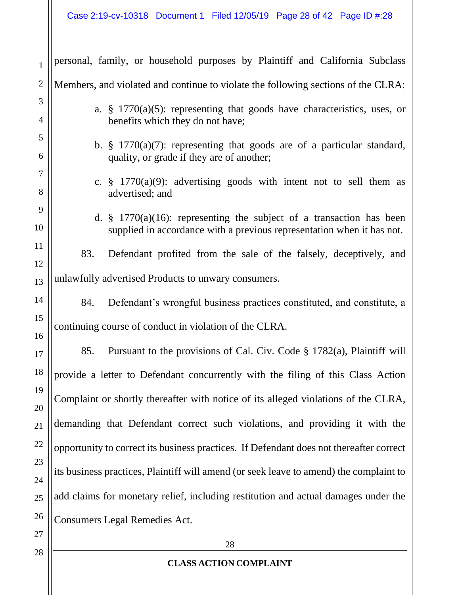| $\mathbf{1}$   | personal, family, or household purposes by Plaintiff and California Subclass            |  |  |
|----------------|-----------------------------------------------------------------------------------------|--|--|
| $\mathbf{2}$   | Members, and violated and continue to violate the following sections of the CLRA:       |  |  |
| 3              | a. $\S$ 1770(a)(5): representing that goods have characteristics, uses, or              |  |  |
| $\overline{4}$ | benefits which they do not have;                                                        |  |  |
| 5              | b. $\S$ 1770(a)(7): representing that goods are of a particular standard,               |  |  |
| 6              | quality, or grade if they are of another;                                               |  |  |
| $\tau$         | c. $\frac{1}{2}$ 1770(a)(9): advertising goods with intent not to sell them as          |  |  |
| 8              | advertised; and                                                                         |  |  |
| 9              | d. $\frac{1}{2}$ 1770(a)(16): representing the subject of a transaction has been        |  |  |
| 10             | supplied in accordance with a previous representation when it has not.                  |  |  |
| 11             | 83.<br>Defendant profited from the sale of the falsely, deceptively, and                |  |  |
| 12             |                                                                                         |  |  |
| 13             | unlawfully advertised Products to unwary consumers.                                     |  |  |
| 14             | Defendant's wrongful business practices constituted, and constitute, a<br>84.           |  |  |
| 15             | continuing course of conduct in violation of the CLRA.                                  |  |  |
| 16             | Pursuant to the provisions of Cal. Civ. Code § 1782(a), Plaintiff will<br>85.           |  |  |
| 17             |                                                                                         |  |  |
| 18             | provide a letter to Defendant concurrently with the filing of this Class Action         |  |  |
| 19             | Complaint or shortly thereafter with notice of its alleged violations of the CLRA,      |  |  |
| 20             |                                                                                         |  |  |
| 21             | demanding that Defendant correct such violations, and providing it with the             |  |  |
| 22             | opportunity to correct its business practices. If Defendant does not thereafter correct |  |  |
| 23             | its business practices, Plaintiff will amend (or seek leave to amend) the complaint to  |  |  |
| 24             |                                                                                         |  |  |
| 25             | add claims for monetary relief, including restitution and actual damages under the      |  |  |
| 26             | <b>Consumers Legal Remedies Act.</b>                                                    |  |  |
| 27             |                                                                                         |  |  |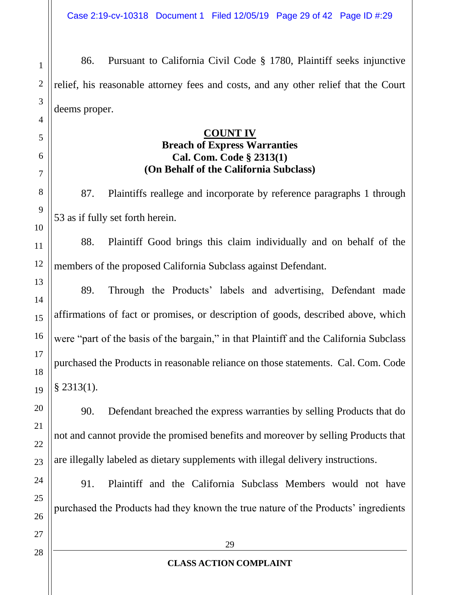Case 2:19-cv-10318 Document 1 Filed 12/05/19 Page 29 of 42 Page ID #:29

86. Pursuant to California Civil Code § 1780, Plaintiff seeks injunctive relief, his reasonable attorney fees and costs, and any other relief that the Court deems proper.

#### **COUNT IV**

#### **Breach of Express Warranties Cal. Com. Code § 2313(1) (On Behalf of the California Subclass)**

87. Plaintiffs reallege and incorporate by reference paragraphs 1 through 53 as if fully set forth herein.

88. Plaintiff Good brings this claim individually and on behalf of the members of the proposed California Subclass against Defendant.

89. Through the Products' labels and advertising, Defendant made affirmations of fact or promises, or description of goods, described above, which were "part of the basis of the bargain," in that Plaintiff and the California Subclass purchased the Products in reasonable reliance on those statements. Cal. Com. Code  $§$  2313(1).

90. Defendant breached the express warranties by selling Products that do not and cannot provide the promised benefits and moreover by selling Products that are illegally labeled as dietary supplements with illegal delivery instructions.

91. Plaintiff and the California Subclass Members would not have purchased the Products had they known the true nature of the Products' ingredients

1

2

3

4

5

6

7

8

9

10

11

12

13

14

15

16

17

18

19

20

21

22

23

24

25

26

#### **CLASS ACTION COMPLAINT**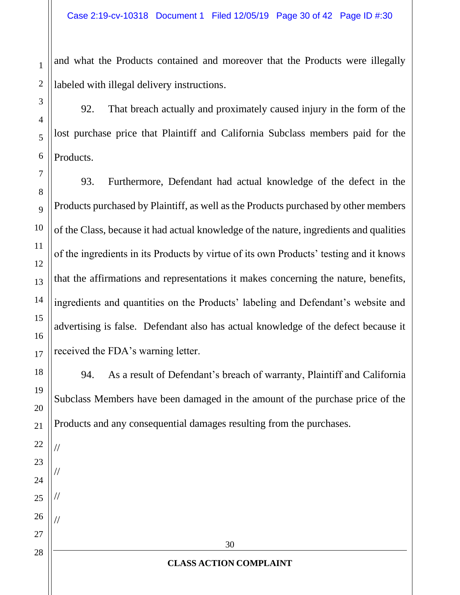and what the Products contained and moreover that the Products were illegally labeled with illegal delivery instructions.

92. That breach actually and proximately caused injury in the form of the lost purchase price that Plaintiff and California Subclass members paid for the Products.

93. Furthermore, Defendant had actual knowledge of the defect in the Products purchased by Plaintiff, as well as the Products purchased by other members of the Class, because it had actual knowledge of the nature, ingredients and qualities of the ingredients in its Products by virtue of its own Products' testing and it knows that the affirmations and representations it makes concerning the nature, benefits, ingredients and quantities on the Products' labeling and Defendant's website and advertising is false. Defendant also has actual knowledge of the defect because it received the FDA's warning letter.

94. As a result of Defendant's breach of warranty, Plaintiff and California Subclass Members have been damaged in the amount of the purchase price of the Products and any consequential damages resulting from the purchases.

//

//

//

//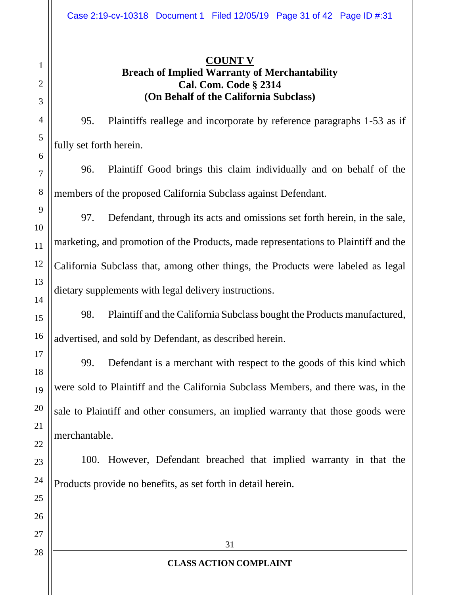# **COUNT V Breach of Implied Warranty of Merchantability Cal. Com. Code § 2314 (On Behalf of the California Subclass)**

95. Plaintiffs reallege and incorporate by reference paragraphs 1-53 as if fully set forth herein.

96. Plaintiff Good brings this claim individually and on behalf of the members of the proposed California Subclass against Defendant.

97. Defendant, through its acts and omissions set forth herein, in the sale, marketing, and promotion of the Products, made representations to Plaintiff and the California Subclass that, among other things, the Products were labeled as legal dietary supplements with legal delivery instructions.

98. Plaintiff and the California Subclass bought the Products manufactured, advertised, and sold by Defendant, as described herein.

99. Defendant is a merchant with respect to the goods of this kind which were sold to Plaintiff and the California Subclass Members, and there was, in the sale to Plaintiff and other consumers, an implied warranty that those goods were merchantable.

100. However, Defendant breached that implied warranty in that the Products provide no benefits, as set forth in detail herein.

1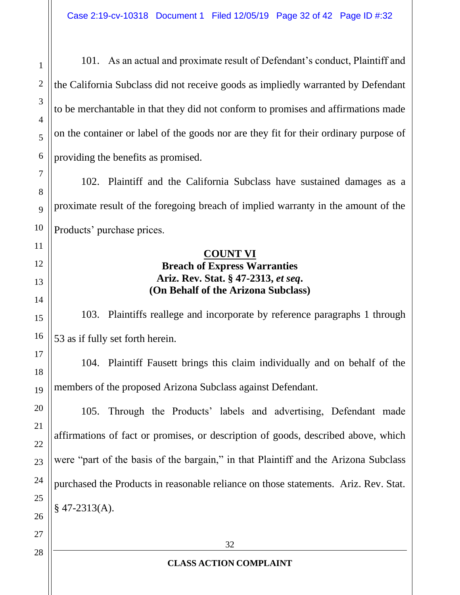101. As an actual and proximate result of Defendant's conduct, Plaintiff and the California Subclass did not receive goods as impliedly warranted by Defendant to be merchantable in that they did not conform to promises and affirmations made on the container or label of the goods nor are they fit for their ordinary purpose of providing the benefits as promised.

102. Plaintiff and the California Subclass have sustained damages as a proximate result of the foregoing breach of implied warranty in the amount of the Products' purchase prices.

#### **COUNT VI Breach of Express Warranties Ariz. Rev. Stat. § 47-2313,** *et seq***. (On Behalf of the Arizona Subclass)**

103. Plaintiffs reallege and incorporate by reference paragraphs 1 through 53 as if fully set forth herein.

104. Plaintiff Fausett brings this claim individually and on behalf of the members of the proposed Arizona Subclass against Defendant.

105. Through the Products' labels and advertising, Defendant made affirmations of fact or promises, or description of goods, described above, which were "part of the basis of the bargain," in that Plaintiff and the Arizona Subclass purchased the Products in reasonable reliance on those statements. Ariz. Rev. Stat.  $§$  47-2313(A).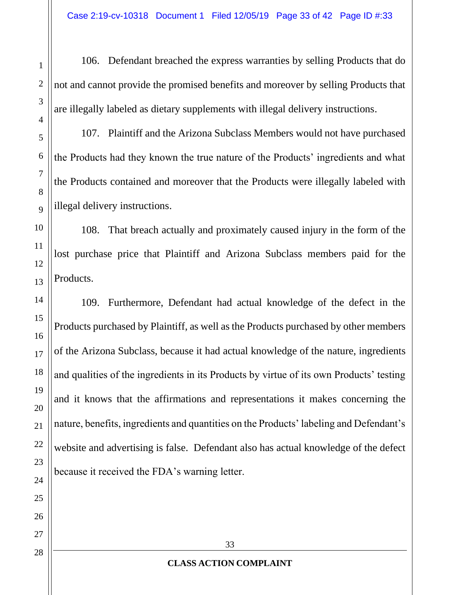106. Defendant breached the express warranties by selling Products that do not and cannot provide the promised benefits and moreover by selling Products that are illegally labeled as dietary supplements with illegal delivery instructions.

107. Plaintiff and the Arizona Subclass Members would not have purchased the Products had they known the true nature of the Products' ingredients and what the Products contained and moreover that the Products were illegally labeled with illegal delivery instructions.

108. That breach actually and proximately caused injury in the form of the lost purchase price that Plaintiff and Arizona Subclass members paid for the Products.

109. Furthermore, Defendant had actual knowledge of the defect in the Products purchased by Plaintiff, as well as the Products purchased by other members of the Arizona Subclass, because it had actual knowledge of the nature, ingredients and qualities of the ingredients in its Products by virtue of its own Products' testing and it knows that the affirmations and representations it makes concerning the nature, benefits, ingredients and quantities on the Products' labeling and Defendant's website and advertising is false. Defendant also has actual knowledge of the defect because it received the FDA's warning letter.

1

2

3

4

5

6

7

8

9

10

11

12

13

14

15

16

17

18

19

20

21

22

23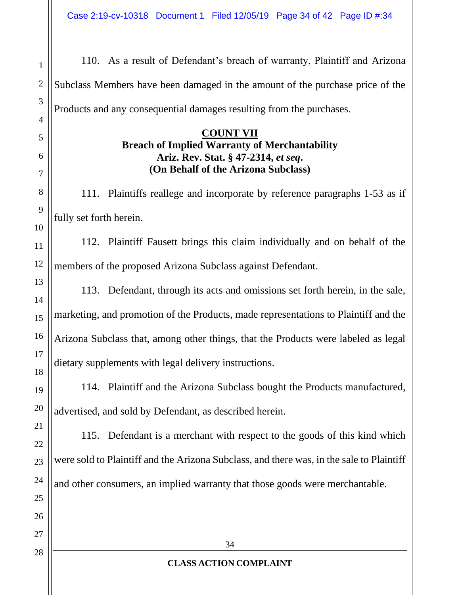110. As a result of Defendant's breach of warranty, Plaintiff and Arizona Subclass Members have been damaged in the amount of the purchase price of the Products and any consequential damages resulting from the purchases.

#### **COUNT VII Breach of Implied Warranty of Merchantability Ariz. Rev. Stat. § 47-2314,** *et seq***. (On Behalf of the Arizona Subclass)**

111. Plaintiffs reallege and incorporate by reference paragraphs 1-53 as if fully set forth herein.

112. Plaintiff Fausett brings this claim individually and on behalf of the members of the proposed Arizona Subclass against Defendant.

113. Defendant, through its acts and omissions set forth herein, in the sale, marketing, and promotion of the Products, made representations to Plaintiff and the Arizona Subclass that, among other things, that the Products were labeled as legal dietary supplements with legal delivery instructions.

114. Plaintiff and the Arizona Subclass bought the Products manufactured, advertised, and sold by Defendant, as described herein.

115. Defendant is a merchant with respect to the goods of this kind which were sold to Plaintiff and the Arizona Subclass, and there was, in the sale to Plaintiff and other consumers, an implied warranty that those goods were merchantable.

1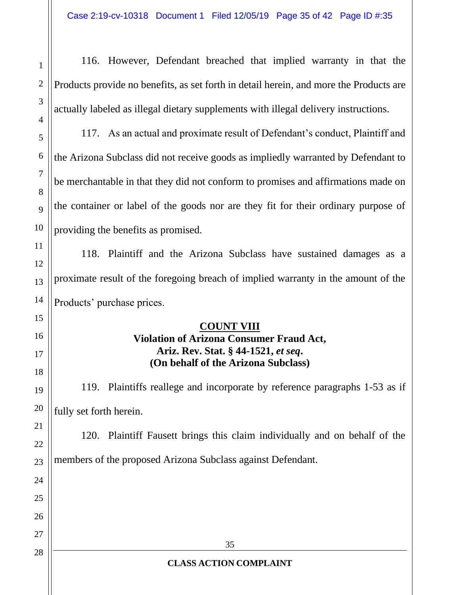116. However, Defendant breached that implied warranty in that the Products provide no benefits, as set forth in detail herein, and more the Products are actually labeled as illegal dietary supplements with illegal delivery instructions.

117. As an actual and proximate result of Defendant's conduct, Plaintiff and the Arizona Subclass did not receive goods as impliedly warranted by Defendant to be merchantable in that they did not conform to promises and affirmations made on the container or label of the goods nor are they fit for their ordinary purpose of providing the benefits as promised.

118. Plaintiff and the Arizona Subclass have sustained damages as a proximate result of the foregoing breach of implied warranty in the amount of the Products' purchase prices.

#### **COUNT VIII Violation of Arizona Consumer Fraud Act, Ariz. Rev. Stat. § 44-1521,** *et seq***. (On behalf of the Arizona Subclass)**

119. Plaintiffs reallege and incorporate by reference paragraphs 1-53 as if fully set forth herein.

120. Plaintiff Fausett brings this claim individually and on behalf of the members of the proposed Arizona Subclass against Defendant.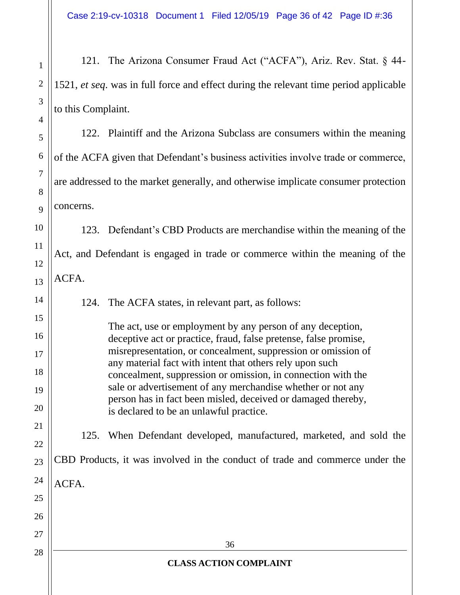121. The Arizona Consumer Fraud Act ("ACFA"), Ariz. Rev. Stat. § 44- 1521, *et seq*. was in full force and effect during the relevant time period applicable to this Complaint.

122. Plaintiff and the Arizona Subclass are consumers within the meaning of the ACFA given that Defendant's business activities involve trade or commerce, are addressed to the market generally, and otherwise implicate consumer protection concerns.

123. Defendant's CBD Products are merchandise within the meaning of the Act, and Defendant is engaged in trade or commerce within the meaning of the

ACFA.

1

2

3

4

5

6

7

8

9

10

11

12

13

14

15

16

17

18

19

20

21

22

23

25

124. The ACFA states, in relevant part, as follows:

The act, use or employment by any person of any deception, deceptive act or practice, fraud, false pretense, false promise, misrepresentation, or concealment, suppression or omission of any material fact with intent that others rely upon such concealment, suppression or omission, in connection with the sale or advertisement of any merchandise whether or not any person has in fact been misled, deceived or damaged thereby, is declared to be an unlawful practice.

125. When Defendant developed, manufactured, marketed, and sold the

CBD Products, it was involved in the conduct of trade and commerce under the

24 ACFA.

26 27 28

#### **CLASS ACTION COMPLAINT**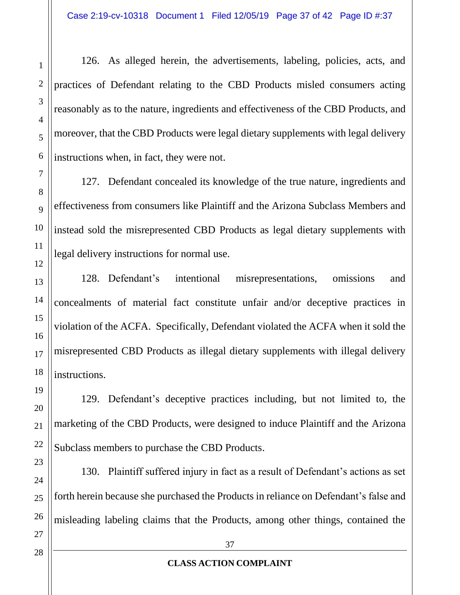126. As alleged herein, the advertisements, labeling, policies, acts, and practices of Defendant relating to the CBD Products misled consumers acting reasonably as to the nature, ingredients and effectiveness of the CBD Products, and moreover, that the CBD Products were legal dietary supplements with legal delivery instructions when, in fact, they were not.

127. Defendant concealed its knowledge of the true nature, ingredients and effectiveness from consumers like Plaintiff and the Arizona Subclass Members and instead sold the misrepresented CBD Products as legal dietary supplements with legal delivery instructions for normal use.

128. Defendant's intentional misrepresentations, omissions and concealments of material fact constitute unfair and/or deceptive practices in violation of the ACFA. Specifically, Defendant violated the ACFA when it sold the misrepresented CBD Products as illegal dietary supplements with illegal delivery instructions.

129. Defendant's deceptive practices including, but not limited to, the marketing of the CBD Products, were designed to induce Plaintiff and the Arizona Subclass members to purchase the CBD Products.

130. Plaintiff suffered injury in fact as a result of Defendant's actions as set forth herein because she purchased the Products in reliance on Defendant's false and misleading labeling claims that the Products, among other things, contained the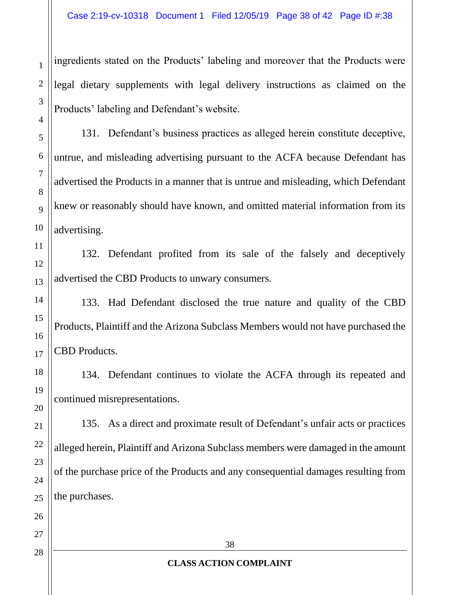ingredients stated on the Products' labeling and moreover that the Products were legal dietary supplements with legal delivery instructions as claimed on the Products' labeling and Defendant's website.

131. Defendant's business practices as alleged herein constitute deceptive, untrue, and misleading advertising pursuant to the ACFA because Defendant has advertised the Products in a manner that is untrue and misleading, which Defendant knew or reasonably should have known, and omitted material information from its advertising.

132. Defendant profited from its sale of the falsely and deceptively advertised the CBD Products to unwary consumers.

133. Had Defendant disclosed the true nature and quality of the CBD Products, Plaintiff and the Arizona Subclass Members would not have purchased the CBD Products.

134. Defendant continues to violate the ACFA through its repeated and continued misrepresentations.

135. As a direct and proximate result of Defendant's unfair acts or practices alleged herein, Plaintiff and Arizona Subclass members were damaged in the amount of the purchase price of the Products and any consequential damages resulting from the purchases.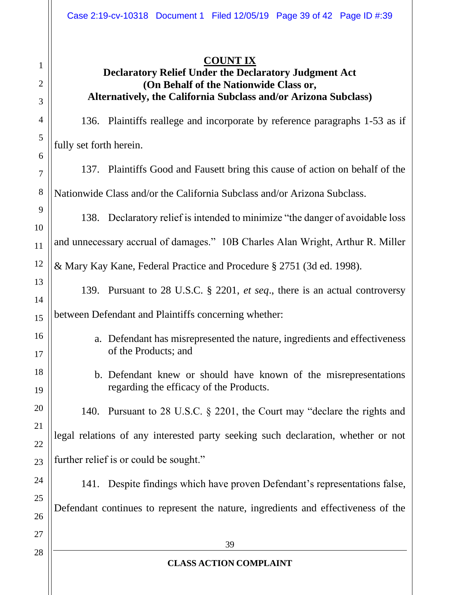## **COUNT IX**

#### **Declaratory Relief Under the Declaratory Judgment Act (On Behalf of the Nationwide Class or, Alternatively, the California Subclass and/or Arizona Subclass)**

136. Plaintiffs reallege and incorporate by reference paragraphs 1-53 as if fully set forth herein.

137. Plaintiffs Good and Fausett bring this cause of action on behalf of the Nationwide Class and/or the California Subclass and/or Arizona Subclass.

138. Declaratory relief is intended to minimize "the danger of avoidable loss

and unnecessary accrual of damages." 10B Charles Alan Wright, Arthur R. Miller

12 & Mary Kay Kane, Federal Practice and Procedure § 2751 (3d ed. 1998).

139. Pursuant to 28 U.S.C. § 2201, *et seq*., there is an actual controversy

between Defendant and Plaintiffs concerning whether:

- a. Defendant has misrepresented the nature, ingredients and effectiveness of the Products; and
- b. Defendant knew or should have known of the misrepresentations regarding the efficacy of the Products.

140. Pursuant to 28 U.S.C. § 2201, the Court may "declare the rights and legal relations of any interested party seeking such declaration, whether or not further relief is or could be sought."

141. Despite findings which have proven Defendant's representations false, Defendant continues to represent the nature, ingredients and effectiveness of the

1

2

3

4

5

6

7

8

9

10

11

13

14

15

16

17

18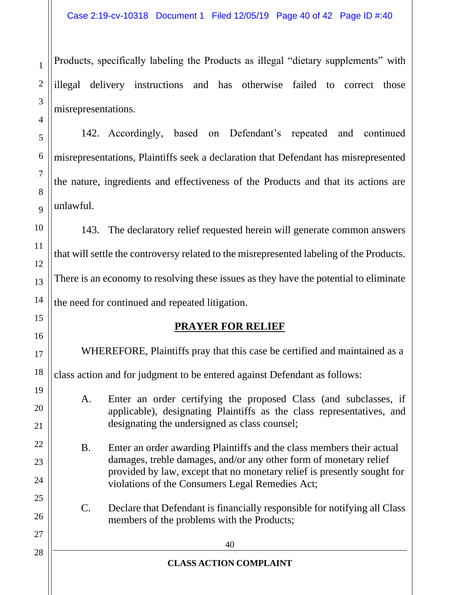Products, specifically labeling the Products as illegal "dietary supplements" with illegal delivery instructions and has otherwise failed to correct those misrepresentations.

142. Accordingly, based on Defendant's repeated and continued misrepresentations, Plaintiffs seek a declaration that Defendant has misrepresented the nature, ingredients and effectiveness of the Products and that its actions are unlawful.

143. The declaratory relief requested herein will generate common answers that will settle the controversy related to the misrepresented labeling of the Products. There is an economy to resolving these issues as they have the potential to eliminate the need for continued and repeated litigation.

# **PRAYER FOR RELIEF**

WHEREFORE, Plaintiffs pray that this case be certified and maintained as a

class action and for judgment to be entered against Defendant as follows:

A. Enter an order certifying the proposed Class (and subclasses, if applicable), designating Plaintiffs as the class representatives, and designating the undersigned as class counsel;

- B. Enter an order awarding Plaintiffs and the class members their actual damages, treble damages, and/or any other form of monetary relief provided by law, except that no monetary relief is presently sought for violations of the Consumers Legal Remedies Act;
- C. Declare that Defendant is financially responsible for notifying all Class members of the problems with the Products;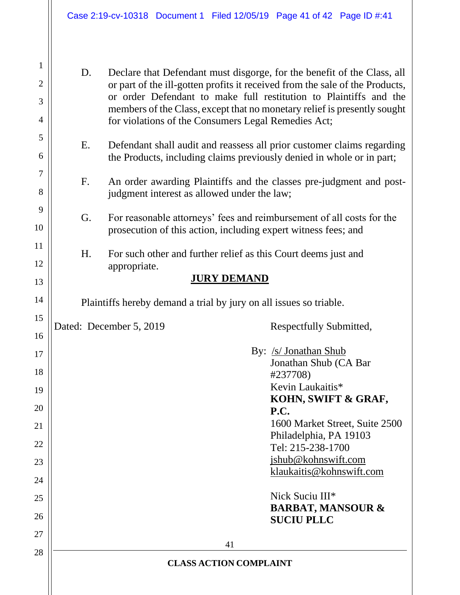D. Declare that Defendant must disgorge, for the benefit of the Class, all or part of the ill-gotten profits it received from the sale of the Products, or order Defendant to make full restitution to Plaintiffs and the members of the Class, except that no monetary relief is presently sought for violations of the Consumers Legal Remedies Act;

- E. Defendant shall audit and reassess all prior customer claims regarding the Products, including claims previously denied in whole or in part;
- F. An order awarding Plaintiffs and the classes pre-judgment and postjudgment interest as allowed under the law;
- G. For reasonable attorneys' fees and reimbursement of all costs for the prosecution of this action, including expert witness fees; and
- H. For such other and further relief as this Court deems just and appropriate.

#### **JURY DEMAND**

Plaintiffs hereby demand a trial by jury on all issues so triable.

Dated: December 5, 2019 Respectfully Submitted,

1

2

3

4

5

6

7

8

9

10

11

12

13

14

15

16

17

18

19

20

21

22

23

24

25

26

27

28

 By: /s/ Jonathan Shub Jonathan Shub (CA Bar #237708) Kevin Laukaitis\* **KOHN, SWIFT & GRAF, P.C.**  1600 Market Street, Suite 2500 Philadelphia, PA 19103 Tel: 215-238-1700 jshub@kohnswift.com klaukaitis@kohnswift.com Nick Suciu III\*

**BARBAT, MANSOUR & SUCIU PLLC**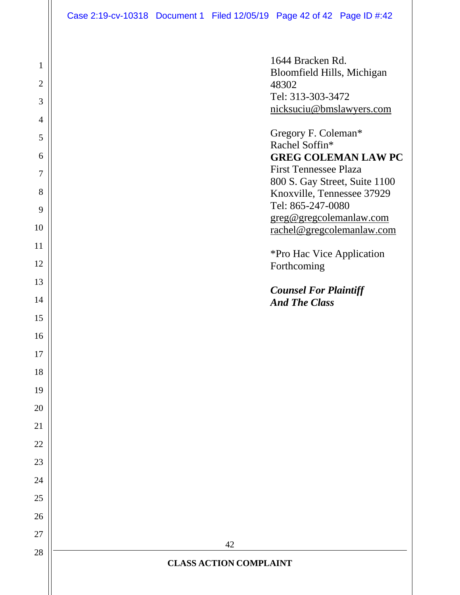| $\mathbf{1}$   | 1644 Bracken Rd.<br>Bloomfield Hills, Michigan              |
|----------------|-------------------------------------------------------------|
| $\overline{2}$ | 48302                                                       |
| 3              | Tel: 313-303-3472<br>nicksuciu@bmslawyers.com               |
| $\overline{4}$ |                                                             |
| 5              | Gregory F. Coleman*<br>Rachel Soffin*                       |
| 6              | <b>GREG COLEMAN LAW PC</b>                                  |
| 7              | <b>First Tennessee Plaza</b>                                |
| 8              | 800 S. Gay Street, Suite 1100<br>Knoxville, Tennessee 37929 |
| 9              | Tel: 865-247-0080                                           |
| 10             | greg@gregcolemanlaw.com<br>rachel@gregcolemanlaw.com        |
| 11             |                                                             |
| 12             | *Pro Hac Vice Application<br>Forthcoming                    |
| 13             |                                                             |
| 14             | <b>Counsel For Plaintiff</b><br><b>And The Class</b>        |
| 15             |                                                             |
| 16             |                                                             |
| 17             |                                                             |
| 18             |                                                             |
| 19             |                                                             |
| 20             |                                                             |
| 21             |                                                             |
| 22             |                                                             |
| 23             |                                                             |
| 24             |                                                             |
| 25             |                                                             |
| 26             |                                                             |
| 27             |                                                             |
| 28             | 42                                                          |
|                | <b>CLASS ACTION COMPLAINT</b>                               |
|                |                                                             |